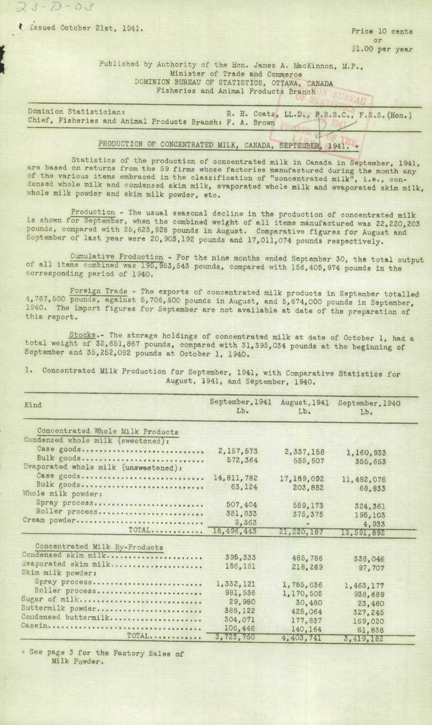$23 - 0 - 03$ 

## Published by Authority of the Hon. James A. MacKinnon, M.P., Minister of Trade and Commerce DOMINION BUREAU OF STATISTICS, OTTAWA, CANADA Fisheries and Animal Products Branch

Dominion Statistician: R. H. Coats, LL.D., *R.R.S.C.*, *F.S.S.* (Hon.) Chief, Fisheries and Animal Products Branch: F. A. Brown

## PRODUCTION OF CONCENTRATED MILK, CANADA, SEPTEMBER, 1941.

Statistics of the production of concentrated milk in Canada in September, 1941, are based on returns from the 59 firms whose factories manufactured *during* the month any of the various items embraced in the classification of "ooncentrated milk", i.e., condensed whole milk and condensed skim milk, evaporated whole milk and evaporated skim milk, whole milk powder and skim milk powder, **etc.** 

Production - The usual seasonal decline in the production of concentrated **milk**  is shown for September, when the oombined weight of all items manufactured was 22,220,203 pounds, compared with 25,623,928 pounds in August. Comparative figures for August and September of last year were 20,903,192 pounds and 17,011,074 pounds respectively.

Cumulative Production - For the nine months ended September 30, the total output of all items combined was 195,953,543 pounds, compared with 156,405,974 pounds in the corresponding period of 1940.

Foreign Trade - The exports of concentrated milk products in September totalled 4,767,500 pounds, against 5,706,800 pounds in August, and 5,674,000 pounds in September against 5,706,800 pounds in August, and 5,674,000 pounds in September, 1940. The import figures for September are not available at date of the preparation of this report.

Stocks.- The storage holdings of concentrated milk at date of October 1, had a total weight of 32,651,867 pounds, compared with 31,395,034 pounds at the beginning of September and 35,252,082 pounds at October 1, 1940.

1. Concentrated Milk Production for September, 1941, with Comparative Statistics for August, 1941, and September, 1940,

| Kind                                 | September, 1941<br>Lb. | August, 1941<br>$Lb$ . | September, 1940<br>Lb. |
|--------------------------------------|------------------------|------------------------|------------------------|
| Concentrated Whole Milk Products     |                        |                        |                        |
| Condensed whole milk (sweetened):    |                        |                        |                        |
| Case goods                           | 2,157,573              | 2,337,158              | 1,160,933              |
| Bulk goods                           | 572.364                | 555,507                | 355.653                |
| Evaporated whole milk (unsweetened): |                        |                        |                        |
| Case goods                           | 14,811,782             | 17,189,092             | 11,482,076             |
| Builk goods                          | 63,124                 | 203,882                | 68,833                 |
| Whole milk powder:                   |                        |                        |                        |
| Spray process                        | 507,404                | 559,173                | 324,361                |
| Roller process                       | 381,833                | 375, 375               | 195,103                |
| Cream powder                         | 2,363                  |                        | 4,933                  |
| TOTAL                                | 18,496,443             | 21, 220, 187           | 13,591,892             |
| Concentrated Milk By-Products        |                        |                        |                        |
| Condensed skim milk                  |                        |                        |                        |
| Svaporated skim milk                 | 395,333                | 485,786                | 338,046                |
| Skim milk powder:                    | 186, 151               | 218,269                | 97,707                 |
| Spray process                        |                        |                        |                        |
| Roller process                       | 1,332,121              | 1,755,636              | 1,463,177              |
| Sugar of milk                        | 981,536                | 1,170,505              | 938,689                |
| Buttermilk powder                    | 29,980<br>388,122      | 30,480                 | 23,460                 |
| Condensed buttermilk                 | 304,071                | 425,064                | 327.245                |
|                                      | 106,446                | 177,837                | 169,020                |
| TOTAL                                | 3,723,760              | 140,164<br>4,403,741   | 61,838                 |
|                                      |                        |                        | 3,419,182              |

+ See page 3 for the Factory Sales of Milk Powder.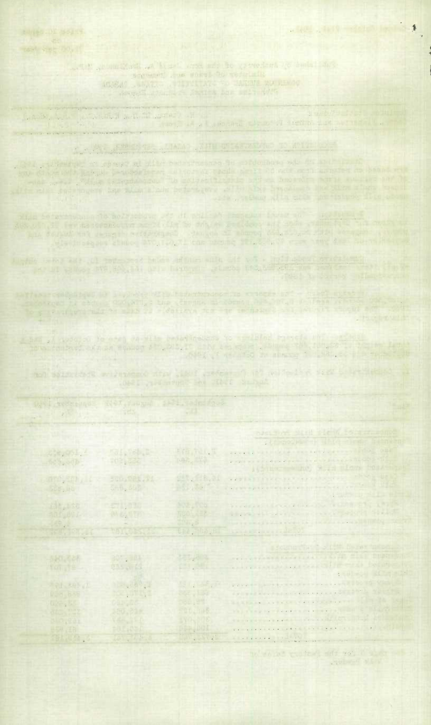**REPORT OF STREET** with commission of himself water and the greveriant of hunter stars scourant the some for telecome ACCESS . ANALLY . PRIVATE AND TO UNKNIN WATERS OF **TANA AREA DE LA PERSONA DE LA PERSONA DE** 20 TH TALL LUADA - XITE TELEVISIONE TO ACLIENCE . It is a series of a spars of aller a suprements showners we as the set of lingen van die 1918 van de eerste keine gemie uite sie van de gebeuren.<br>De eerste gemieste van de gemie van de eerste gemieste teen van de gemeenste van de eerste van de gemieste va lettes realisable; it supports of publications in contract as andorroes la carta compañía que compositivamente compañía en la compañía . Mathews and sounders wirespread for the test process of the wife-the size interfering Net yangsi 1971, sajaingok ONE L'avocarat dires. **All specific of third order into the** Frema La 应信保险  $-63.560$ 바이 구축 **BANGHAL Compiled Address Barba** Shib, Mill **ALBERT** A SUPPLE PALL RICH **Which I have the Second Property DELLIST** en pour **MOLAR BA 64 GERA** ansijour. fitin dinya<br>Cik, 1<mark>4</mark>94 ter place. 引起しておれ **BOS 2004 FALSAT CAS ... (4) COLLEGE LOCATION** Tel service Marshall, **GARAGE Stophone May bar** AL. . . . . . misk at rister, wit is a sort Lee Bread of East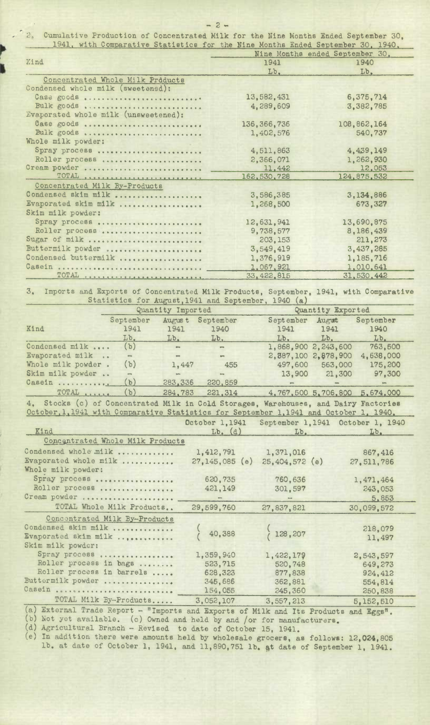| $-2-$ |  |  |
|-------|--|--|
|-------|--|--|

|  | Cumulative Production of Concentrated Milk for the Nine Months Ended September 30, |  |  |  |
|--|------------------------------------------------------------------------------------|--|--|--|
|  | $1041$ sith Companitor Ctotlation for the Wine Houths Ended Contember 20, 1040     |  |  |  |

| 1941, with Comparative Statistics for the Nine Months Ended September 30, 1940,                                                                                                                                                |               |                                 |
|--------------------------------------------------------------------------------------------------------------------------------------------------------------------------------------------------------------------------------|---------------|---------------------------------|
|                                                                                                                                                                                                                                |               | Nine Months ended September 30, |
| Kind                                                                                                                                                                                                                           | 1941          | 1940                            |
|                                                                                                                                                                                                                                | Lb.           | Lb.                             |
| Concentrated Whole Milk Products                                                                                                                                                                                               |               |                                 |
| Condensed whole milk (sweetened):                                                                                                                                                                                              |               |                                 |
| Casa goods                                                                                                                                                                                                                     | 13,582,431    | 6,375,714                       |
| Bulk goods                                                                                                                                                                                                                     | 4,289,609     | 3,382,785                       |
| Evaporated whole milk (unsweetened):                                                                                                                                                                                           |               |                                 |
| Case goods                                                                                                                                                                                                                     | 136, 366, 736 | 108,862,164                     |
| Bulk goods                                                                                                                                                                                                                     | 1,402,576     | 540.737                         |
| Whole milk powder:                                                                                                                                                                                                             |               |                                 |
| Spray process                                                                                                                                                                                                                  | 4,511,863     | 4,439,149                       |
| Roller process                                                                                                                                                                                                                 | 2,366,071     | 1,262,930                       |
| Cream powder                                                                                                                                                                                                                   | 11,442        | 12,053                          |
|                                                                                                                                                                                                                                | 162,530,728   | 124,875,532                     |
| Concentrated Milk By-Products                                                                                                                                                                                                  |               |                                 |
| Condensed skim milk                                                                                                                                                                                                            | 3,586,385     | 3,134,886                       |
| Evaporated skim milk                                                                                                                                                                                                           | 1,268,500     | 673,327                         |
| Skim milk powder:                                                                                                                                                                                                              |               |                                 |
| Spray process                                                                                                                                                                                                                  | 12,631,941    | 13,690,875                      |
|                                                                                                                                                                                                                                | 9,738,577     | 8,186,439                       |
| Roller process                                                                                                                                                                                                                 |               |                                 |
| Sugar of milk                                                                                                                                                                                                                  | 203, 153      | 211,273                         |
| Buttermilk powder                                                                                                                                                                                                              | 3,549,419     | 3,437,285                       |
| Condensed buttermilk                                                                                                                                                                                                           | 1,376,919     | 1,185,716                       |
|                                                                                                                                                                                                                                | 1,067,921     | 1,010,641                       |
| TOTAL concernations and the contract of the second state of the second state of the second state of the second state of the second state of the second state of the second state of the second state of the second state state | 33, 422, 815  | 31,530,442                      |

3. Imports and Exports of Concentrated Milk Products, September, 1941, with Comparative Statistics for August, 1941 and September, 1940 (a)

|                    | Quantity Imported |                   | Quantity Exported |           |                     |                               |
|--------------------|-------------------|-------------------|-------------------|-----------|---------------------|-------------------------------|
|                    | September         | August            | September         | September | August              | September                     |
| Kind               | 1941              | 1941              | 1940              | 1941      | 1941                | 1940                          |
|                    | $Lb$ .            | $_{\text{1b}}$ .  | $Lb$ .            | Lb.       | Lb.                 | Lb.                           |
| Condensed milk     | (b)               | $\frac{1}{2}$     | $\frac{1}{2}$     |           | 1,868,900 2,243,600 | 763,500                       |
| Evaporated milk    |                   | $\longrightarrow$ | $\frac{1}{2}$     |           | 2,887,100 2,878,900 | 4,638,000                     |
| Whole milk powder. | (b)               | 1,447             | 455               | 497,600   | 563,000             | 175,200                       |
| Skim milk powder   |                   | $\frac{1}{2}$     | $\sim$            |           | 13,900 21,300       | 97,300                        |
| Casein             | (b)               | 283,336           | 220,859           |           |                     |                               |
| TOTAL              | $\mathbf{b}$      | 284,783           | 221.314           |           |                     | 4,767,500 5,706,800 5,674,000 |

4, Stocks (c) of Concentrated Milk in Cold. Storages, Warehouses, and Dairy Factories October. 1, 1941 with Comparative Statistics for September 1, 1941 and October 1, 1940.

|                                  | Detober 1,1941   | September 1,1941 October 1, 1940 |                 |
|----------------------------------|------------------|----------------------------------|-----------------|
| Kind                             | $Lb.$ (d)        | Lb.                              | 10 <sub>o</sub> |
| Concentrated Whole Milk Products |                  |                                  |                 |
| Condensed whole milk             | 1,412,791        | 1,371,016                        | 867,416         |
| Evaporated whole milk            | $27,145,085$ (e) | $25,404,572$ (e)                 | 27, 511, 786    |
| Whole milk powder:               |                  |                                  |                 |
| Spray process                    | 620,735          | 760,636                          | 1, 471, 464     |
| Roller process                   | 421,149          | 301,597                          | 243,053         |
| Cream powder                     |                  |                                  | 5,853           |
| TOTAL Whole Milk Products        | 29,599,760       | 27,837,821                       | 30,099,572      |
| Concentrated Milk By-Products    |                  |                                  |                 |
| Condensed skim milk              |                  |                                  | 218,079         |
| Evaporated skim milk             | 40,388           | 128,207                          | 11,497          |
| Skim milk powder:                |                  |                                  |                 |
| Spray process                    | 1,359,940        | 1,422,179                        | 2,543,597       |
| Roller process in bags           | 523,715          | 520,748                          | 649,273         |
| Roller process in barrels        | 628,323          | 877,838                          | 924,412         |
| Buttermilk powder                | 345,686          | 362,881                          | 554,814         |
| Casein                           | 154,055          | 245,360                          | 250,838         |
| TOTAL Milk By-Products           | 3,052,107        | 3,557,213                        | 5,152,510       |
|                                  |                  |                                  |                 |

External Trade Report - "Imports and Exports of Milk and Its Products and Eggs". Not yet available. (c) Owned and held by and /or for manufacturers,

Agricultural Branch - Revised to date of October 15, 1941.

In addition there were amounts held by wholesale grocers, as follows:  $12,024,805$ lb. at date of October 1, 1941, and 11,890,751 lb, §t date of September 1, 1941.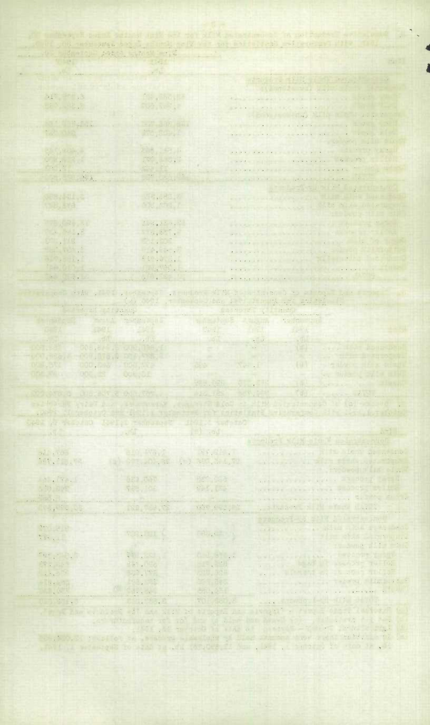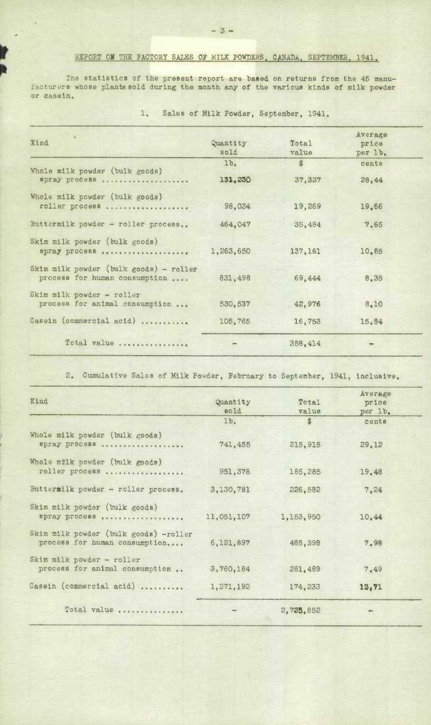## REPORT ON THE FACTORY SALES OF MILK POWDERS, CANADA, SEPTEMBER, 1941.

The statistics of the present report are based on returns from the 45 manufacturers whose plants sold. during the month any of the various kinds of milk powder or casein,

**I** 

 $\overline{\phantom{a}}$ 

| Kind                                                                    | Quantity<br>sold          | Total<br>value | Average<br>price<br>per 1b. |
|-------------------------------------------------------------------------|---------------------------|----------------|-----------------------------|
| Whole milk powder (bulk goods)<br>spray process                         | 1 <sub>b</sub><br>131,230 | \$<br>37,327   | cents<br>28,44              |
| Whole milk powder (bulk goods)<br>roller process                        | 98,034                    | 19,269         | 19.66                       |
| Buttermilk powder - roller process                                      | 464,047                   | 35,484         | 7.65                        |
| Skim milk powder (bulk goods)<br>spray process                          | 1,263,650                 | 137, 161       | 10.85                       |
| Skim milk powder (bulk goods) - roller<br>process for human consumption | 831,498                   | 69,444         | 8,35                        |
| Skim milk powder - roller<br>process for animal consumption             | 530, 537                  | 42,976         | 8.10                        |
| Casein (commercial acid)                                                | 105,765                   | 16,753         | 15.84                       |
| Total value                                                             |                           | 358,414        |                             |

**1. Sales of Milk Powder, September, 1941.** 

2. Cumulative Sales of Milk Powder, February to September, 1941, **inclusive,** 

| Kind                                                                   | Quantity<br>sold | Total<br>value | Average<br>price<br>per lb. |
|------------------------------------------------------------------------|------------------|----------------|-----------------------------|
|                                                                        | 1 <sub>b</sub>   | $\dot{s}$      | cents                       |
| Whole milk powder (bulk goods)<br>spray process                        | 741,455          | 215,915        | 29.12                       |
| Whole mflk powder (bulk goods)<br>roller process                       | 951,378          | 185,285        | 19.48                       |
| Buttermilk powder - roller process.                                    | 3,130,781        | 226,582        | 7.24                        |
| Skim milk powder (bulk goods)<br>spray process                         | 11,051,107       | 1,153,950      | 10.44                       |
| Skim milk powder (bulk goods) -roller<br>process for human consumption | 6,121,897        | 488,398        | 7.98                        |
| Skim milk powder - roller<br>process for animal consumption            | 3,760.184        | 281,489        | 7.49                        |
| Casein (commercial acid)                                               | 1,271,192        | 174,233        | 13,71                       |
| Total value                                                            |                  | 2,725,852      |                             |